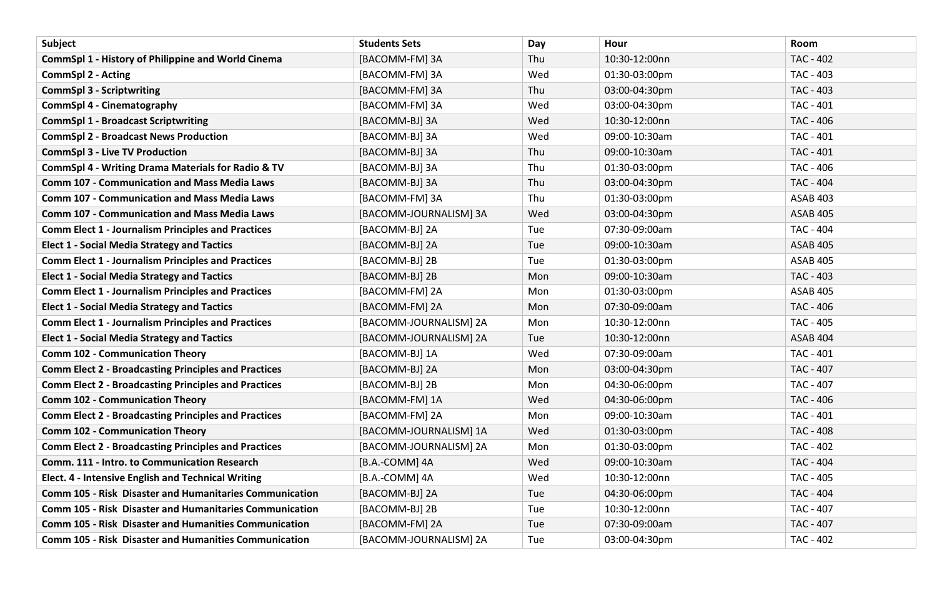| Subject                                                        | <b>Students Sets</b>   | Day | Hour          | Room             |
|----------------------------------------------------------------|------------------------|-----|---------------|------------------|
| <b>CommSpl 1 - History of Philippine and World Cinema</b>      | [BACOMM-FM] 3A         | Thu | 10:30-12:00nn | <b>TAC - 402</b> |
| <b>CommSpl 2 - Acting</b>                                      | [BACOMM-FM] 3A         | Wed | 01:30-03:00pm | TAC - 403        |
| <b>CommSpl 3 - Scriptwriting</b>                               | [BACOMM-FM] 3A         | Thu | 03:00-04:30pm | TAC - 403        |
| <b>CommSpl 4 - Cinematography</b>                              | [BACOMM-FM] 3A         | Wed | 03:00-04:30pm | <b>TAC - 401</b> |
| <b>CommSpl 1 - Broadcast Scriptwriting</b>                     | [BACOMM-BJ] 3A         | Wed | 10:30-12:00nn | TAC - 406        |
| <b>CommSpl 2 - Broadcast News Production</b>                   | [BACOMM-BJ] 3A         | Wed | 09:00-10:30am | <b>TAC - 401</b> |
| <b>CommSpl 3 - Live TV Production</b>                          | [BACOMM-BJ] 3A         | Thu | 09:00-10:30am | <b>TAC - 401</b> |
| <b>CommSpl 4 - Writing Drama Materials for Radio &amp; TV</b>  | [BACOMM-BJ] 3A         | Thu | 01:30-03:00pm | TAC - 406        |
| <b>Comm 107 - Communication and Mass Media Laws</b>            | [BACOMM-BJ] 3A         | Thu | 03:00-04:30pm | <b>TAC - 404</b> |
| <b>Comm 107 - Communication and Mass Media Laws</b>            | [BACOMM-FM] 3A         | Thu | 01:30-03:00pm | <b>ASAB 403</b>  |
| <b>Comm 107 - Communication and Mass Media Laws</b>            | [BACOMM-JOURNALISM] 3A | Wed | 03:00-04:30pm | <b>ASAB 405</b>  |
| <b>Comm Elect 1 - Journalism Principles and Practices</b>      | [BACOMM-BJ] 2A         | Tue | 07:30-09:00am | <b>TAC - 404</b> |
| <b>Elect 1 - Social Media Strategy and Tactics</b>             | [BACOMM-BJ] 2A         | Tue | 09:00-10:30am | <b>ASAB 405</b>  |
| <b>Comm Elect 1 - Journalism Principles and Practices</b>      | [BACOMM-BJ] 2B         | Tue | 01:30-03:00pm | <b>ASAB 405</b>  |
| <b>Elect 1 - Social Media Strategy and Tactics</b>             | [BACOMM-BJ] 2B         | Mon | 09:00-10:30am | TAC - 403        |
| <b>Comm Elect 1 - Journalism Principles and Practices</b>      | [BACOMM-FM] 2A         | Mon | 01:30-03:00pm | <b>ASAB 405</b>  |
| <b>Elect 1 - Social Media Strategy and Tactics</b>             | [BACOMM-FM] 2A         | Mon | 07:30-09:00am | TAC - 406        |
| <b>Comm Elect 1 - Journalism Principles and Practices</b>      | [BACOMM-JOURNALISM] 2A | Mon | 10:30-12:00nn | TAC - 405        |
| <b>Elect 1 - Social Media Strategy and Tactics</b>             | [BACOMM-JOURNALISM] 2A | Tue | 10:30-12:00nn | <b>ASAB 404</b>  |
| <b>Comm 102 - Communication Theory</b>                         | [BACOMM-BJ] 1A         | Wed | 07:30-09:00am | <b>TAC - 401</b> |
| <b>Comm Elect 2 - Broadcasting Principles and Practices</b>    | [BACOMM-BJ] 2A         | Mon | 03:00-04:30pm | TAC - 407        |
| <b>Comm Elect 2 - Broadcasting Principles and Practices</b>    | [BACOMM-BJ] 2B         | Mon | 04:30-06:00pm | TAC - 407        |
| <b>Comm 102 - Communication Theory</b>                         | [BACOMM-FM] 1A         | Wed | 04:30-06:00pm | TAC - 406        |
| <b>Comm Elect 2 - Broadcasting Principles and Practices</b>    | [BACOMM-FM] 2A         | Mon | 09:00-10:30am | <b>TAC - 401</b> |
| <b>Comm 102 - Communication Theory</b>                         | [BACOMM-JOURNALISM] 1A | Wed | 01:30-03:00pm | <b>TAC - 408</b> |
| <b>Comm Elect 2 - Broadcasting Principles and Practices</b>    | [BACOMM-JOURNALISM] 2A | Mon | 01:30-03:00pm | <b>TAC - 402</b> |
| Comm. 111 - Intro. to Communication Research                   | [B.A.-COMM] 4A         | Wed | 09:00-10:30am | <b>TAC - 404</b> |
| Elect. 4 - Intensive English and Technical Writing             | [B.A.-COMM] 4A         | Wed | 10:30-12:00nn | TAC - 405        |
| <b>Comm 105 - Risk Disaster and Humanitaries Communication</b> | [BACOMM-BJ] 2A         | Tue | 04:30-06:00pm | <b>TAC - 404</b> |
| <b>Comm 105 - Risk Disaster and Humanitaries Communication</b> | [BACOMM-BJ] 2B         | Tue | 10:30-12:00nn | TAC - 407        |
| <b>Comm 105 - Risk Disaster and Humanities Communication</b>   | [BACOMM-FM] 2A         | Tue | 07:30-09:00am | TAC - 407        |
| <b>Comm 105 - Risk Disaster and Humanities Communication</b>   | [BACOMM-JOURNALISM] 2A | Tue | 03:00-04:30pm | <b>TAC - 402</b> |